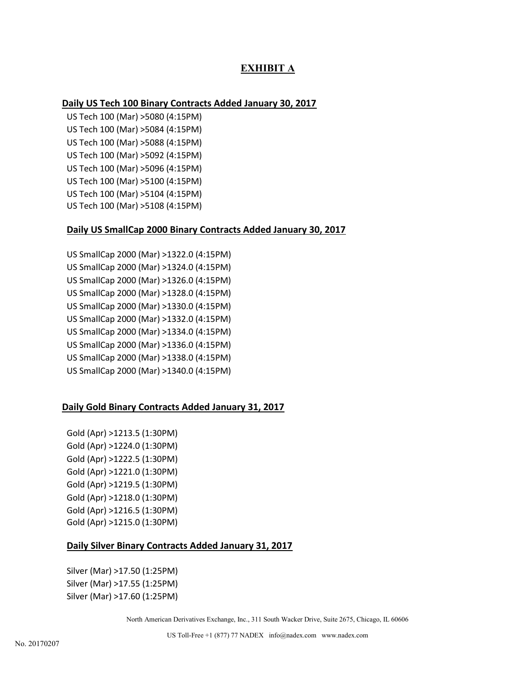# **EXHIBIT A**

# **Daily US Tech 100 Binary Contracts Added January 30, 2017**

US Tech 100 (Mar) >5080 (4:15PM) US Tech 100 (Mar) >5084 (4:15PM) US Tech 100 (Mar) >5088 (4:15PM) US Tech 100 (Mar) >5092 (4:15PM) US Tech 100 (Mar) >5096 (4:15PM) US Tech 100 (Mar) >5100 (4:15PM) US Tech 100 (Mar) >5104 (4:15PM) US Tech 100 (Mar) >5108 (4:15PM)

# **Daily US SmallCap 2000 Binary Contracts Added January 30, 2017**

US SmallCap 2000 (Mar) >1322.0 (4:15PM) US SmallCap 2000 (Mar) >1324.0 (4:15PM) US SmallCap 2000 (Mar) >1326.0 (4:15PM) US SmallCap 2000 (Mar) >1328.0 (4:15PM) US SmallCap 2000 (Mar) >1330.0 (4:15PM) US SmallCap 2000 (Mar) >1332.0 (4:15PM) US SmallCap 2000 (Mar) >1334.0 (4:15PM) US SmallCap 2000 (Mar) >1336.0 (4:15PM) US SmallCap 2000 (Mar) >1338.0 (4:15PM) US SmallCap 2000 (Mar) >1340.0 (4:15PM)

# **Daily Gold Binary Contracts Added January 31, 2017**

Gold (Apr) >1213.5 (1:30PM) Gold (Apr) >1224.0 (1:30PM) Gold (Apr) >1222.5 (1:30PM) Gold (Apr) >1221.0 (1:30PM) Gold (Apr) >1219.5 (1:30PM) Gold (Apr) >1218.0 (1:30PM) Gold (Apr) >1216.5 (1:30PM) Gold (Apr) >1215.0 (1:30PM)

# **Daily Silver Binary Contracts Added January 31, 2017**

Silver (Mar) >17.50 (1:25PM) Silver (Mar) >17.55 (1:25PM) Silver (Mar) >17.60 (1:25PM)

North American Derivatives Exchange, Inc., 311 South Wacker Drive, Suite 2675, Chicago, IL 60606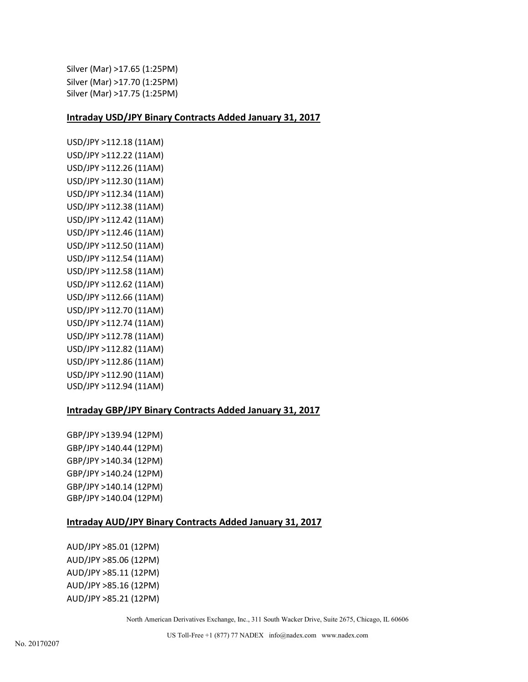```
Silver (Mar) >17.65 (1:25PM)
Silver (Mar) >17.70 (1:25PM)
Silver (Mar) >17.75 (1:25PM)
```
# **Intraday USD/JPY Binary Contracts Added January 31, 2017**

```
USD/JPY >112.18 (11AM)
USD/JPY >112.22 (11AM)
USD/JPY >112.26 (11AM)
USD/JPY >112.30 (11AM)
USD/JPY >112.34 (11AM)
USD/JPY >112.38 (11AM)
USD/JPY >112.42 (11AM)
USD/JPY >112.46 (11AM)
USD/JPY >112.50 (11AM)
USD/JPY >112.54 (11AM)
USD/JPY >112.58 (11AM)
USD/JPY >112.62 (11AM)
USD/JPY >112.66 (11AM)
USD/JPY >112.70 (11AM)
USD/JPY >112.74 (11AM)
USD/JPY >112.78 (11AM)
USD/JPY >112.82 (11AM)
USD/JPY >112.86 (11AM)
USD/JPY >112.90 (11AM)
USD/JPY >112.94 (11AM)
```
# **Intraday GBP/JPY Binary Contracts Added January 31, 2017**

GBP/JPY >139.94 (12PM) GBP/JPY >140.44 (12PM) GBP/JPY >140.34 (12PM) GBP/JPY >140.24 (12PM) GBP/JPY >140.14 (12PM) GBP/JPY >140.04 (12PM)

# **Intraday AUD/JPY Binary Contracts Added January 31, 2017**

AUD/JPY >85.01 (12PM) AUD/JPY >85.06 (12PM) AUD/JPY >85.11 (12PM) AUD/JPY >85.16 (12PM) AUD/JPY >85.21 (12PM)

North American Derivatives Exchange, Inc., 311 South Wacker Drive, Suite 2675, Chicago, IL 60606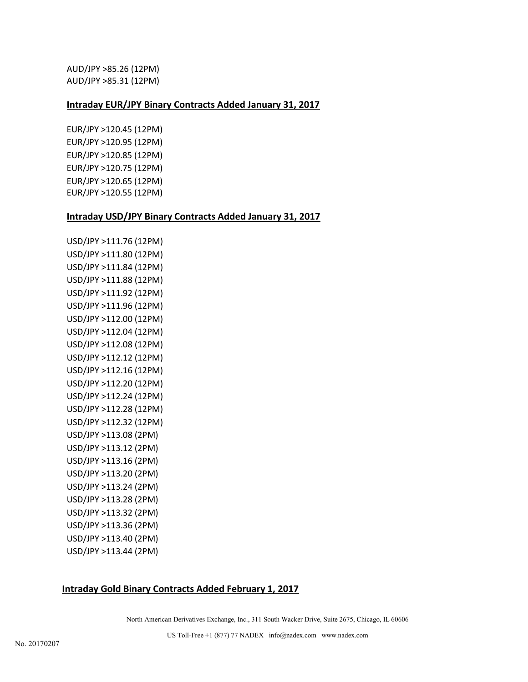AUD/JPY >85.26 (12PM) AUD/JPY >85.31 (12PM)

# **Intraday EUR/JPY Binary Contracts Added January 31, 2017**

EUR/JPY >120.45 (12PM) EUR/JPY >120.95 (12PM) EUR/JPY >120.85 (12PM) EUR/JPY >120.75 (12PM) EUR/JPY >120.65 (12PM) EUR/JPY >120.55 (12PM)

# **Intraday USD/JPY Binary Contracts Added January 31, 2017**

USD/JPY >111.76 (12PM) USD/JPY >111.80 (12PM) USD/JPY >111.84 (12PM) USD/JPY >111.88 (12PM) USD/JPY >111.92 (12PM) USD/JPY >111.96 (12PM) USD/JPY >112.00 (12PM) USD/JPY >112.04 (12PM) USD/JPY >112.08 (12PM) USD/JPY >112.12 (12PM) USD/JPY >112.16 (12PM) USD/JPY >112.20 (12PM) USD/JPY >112.24 (12PM) USD/JPY >112.28 (12PM) USD/JPY >112.32 (12PM) USD/JPY >113.08 (2PM) USD/JPY >113.12 (2PM) USD/JPY >113.16 (2PM) USD/JPY >113.20 (2PM) USD/JPY >113.24 (2PM) USD/JPY >113.28 (2PM) USD/JPY >113.32 (2PM) USD/JPY >113.36 (2PM) USD/JPY >113.40 (2PM) USD/JPY >113.44 (2PM)

# **Intraday Gold Binary Contracts Added February 1, 2017**

North American Derivatives Exchange, Inc., 311 South Wacker Drive, Suite 2675, Chicago, IL 60606